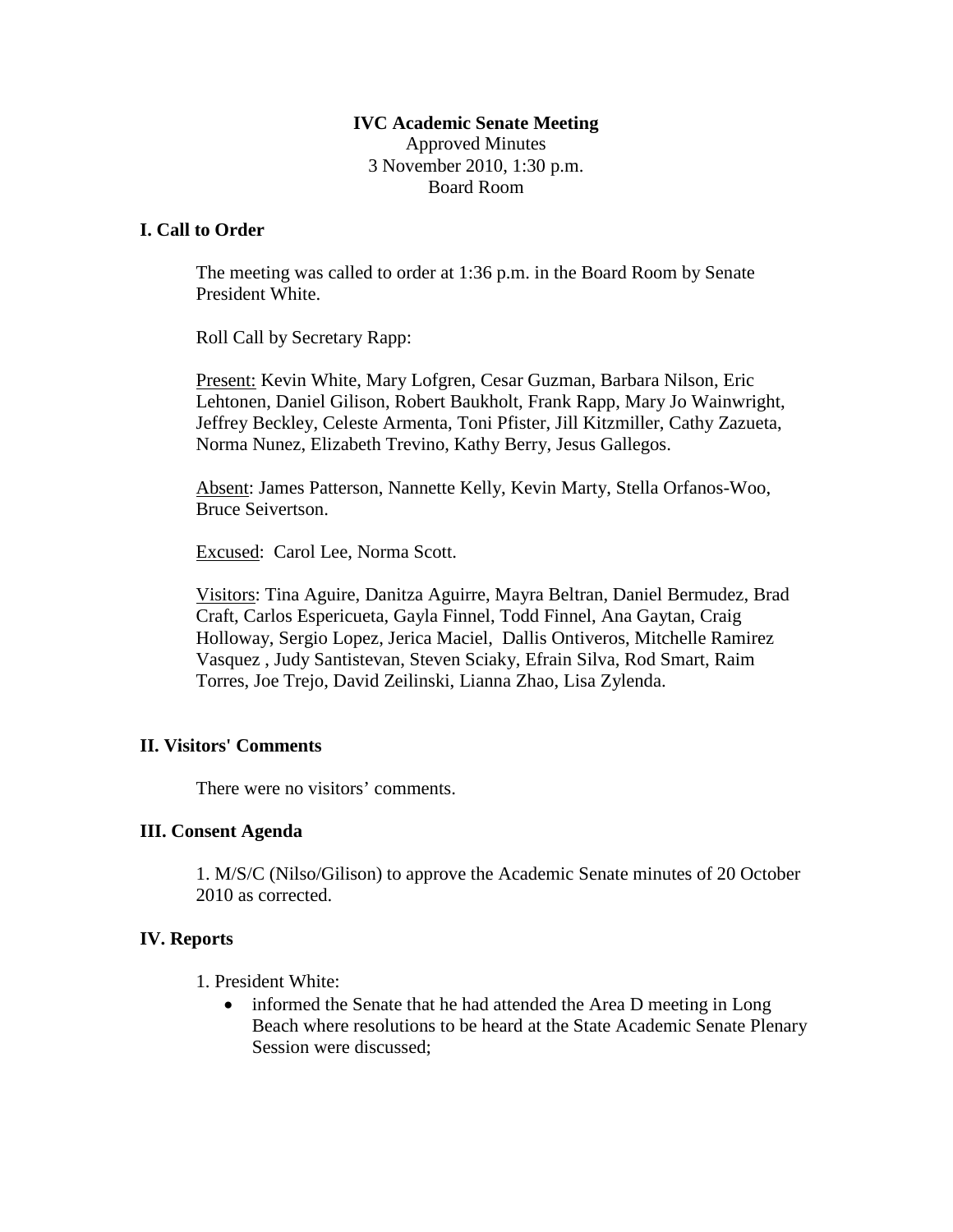### **IVC Academic Senate Meeting** Approved Minutes 3 November 2010, 1:30 p.m. Board Room

### **I. Call to Order**

The meeting was called to order at 1:36 p.m. in the Board Room by Senate President White.

Roll Call by Secretary Rapp:

Present: Kevin White, Mary Lofgren, Cesar Guzman, Barbara Nilson, Eric Lehtonen, Daniel Gilison, Robert Baukholt, Frank Rapp, Mary Jo Wainwright, Jeffrey Beckley, Celeste Armenta, Toni Pfister, Jill Kitzmiller, Cathy Zazueta, Norma Nunez, Elizabeth Trevino, Kathy Berry, Jesus Gallegos.

Absent: James Patterson, Nannette Kelly, Kevin Marty, Stella Orfanos-Woo, Bruce Seivertson.

Excused: Carol Lee, Norma Scott.

Visitors: Tina Aguire, Danitza Aguirre, Mayra Beltran, Daniel Bermudez, Brad Craft, Carlos Espericueta, Gayla Finnel, Todd Finnel, Ana Gaytan, Craig Holloway, Sergio Lopez, Jerica Maciel, Dallis Ontiveros, Mitchelle Ramirez Vasquez , Judy Santistevan, Steven Sciaky, Efrain Silva, Rod Smart, Raim Torres, Joe Trejo, David Zeilinski, Lianna Zhao, Lisa Zylenda.

#### **II. Visitors' Comments**

There were no visitors' comments.

#### **III. Consent Agenda**

1. M/S/C (Nilso/Gilison) to approve the Academic Senate minutes of 20 October 2010 as corrected.

# **IV. Reports**

1. President White:

• informed the Senate that he had attended the Area D meeting in Long Beach where resolutions to be heard at the State Academic Senate Plenary Session were discussed;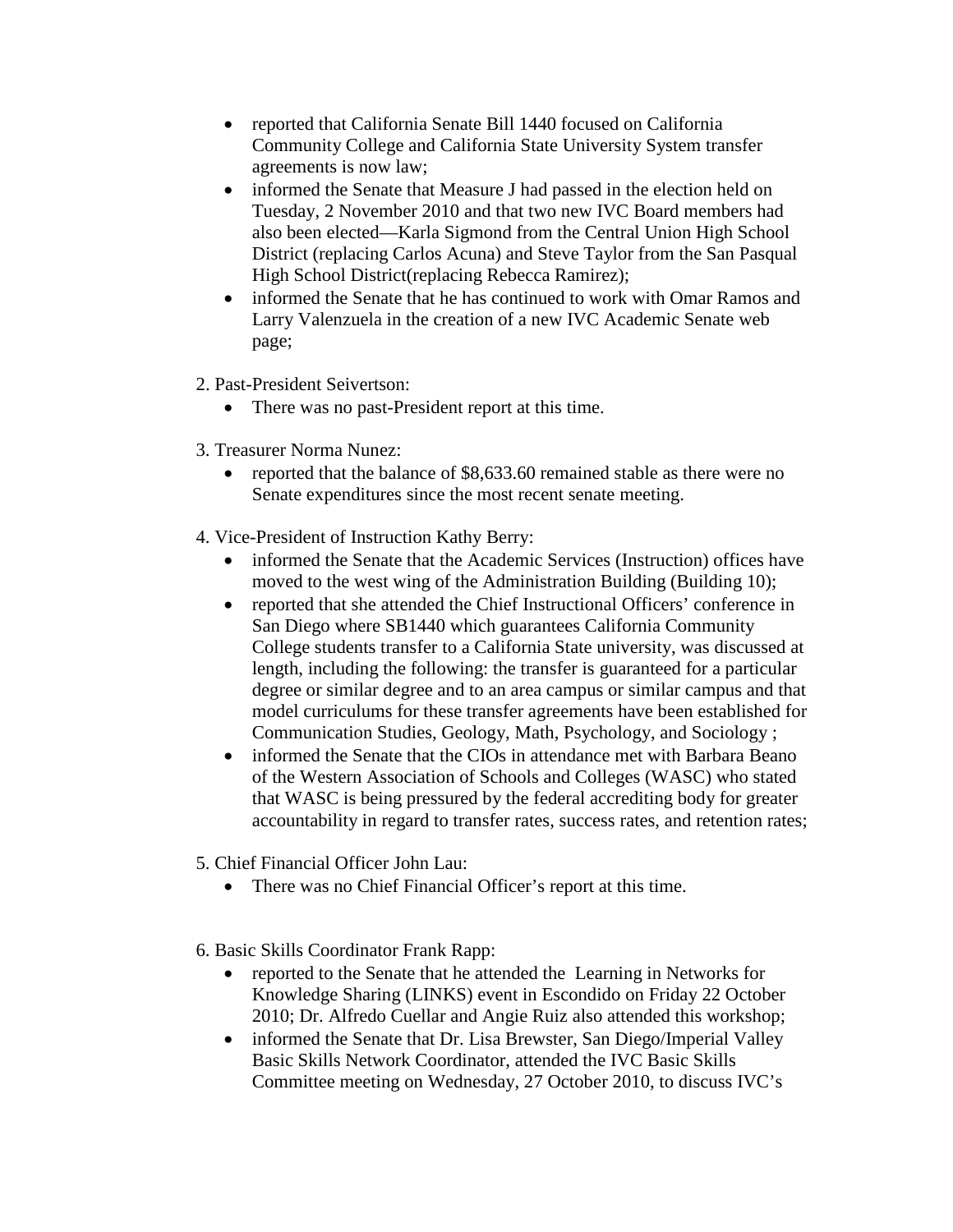- reported that California Senate Bill 1440 focused on California Community College and California State University System transfer agreements is now law;
- informed the Senate that Measure J had passed in the election held on Tuesday, 2 November 2010 and that two new IVC Board members had also been elected—Karla Sigmond from the Central Union High School District (replacing Carlos Acuna) and Steve Taylor from the San Pasqual High School District(replacing Rebecca Ramirez);
- informed the Senate that he has continued to work with Omar Ramos and Larry Valenzuela in the creation of a new IVC Academic Senate web page;
- 2. Past-President Seivertson:
	- There was no past-President report at this time.
- 3. Treasurer Norma Nunez:
	- reported that the balance of \$8,633.60 remained stable as there were no Senate expenditures since the most recent senate meeting.
- 4. Vice-President of Instruction Kathy Berry:
	- informed the Senate that the Academic Services (Instruction) offices have moved to the west wing of the Administration Building (Building 10);
	- reported that she attended the Chief Instructional Officers' conference in San Diego where SB1440 which guarantees California Community College students transfer to a California State university, was discussed at length, including the following: the transfer is guaranteed for a particular degree or similar degree and to an area campus or similar campus and that model curriculums for these transfer agreements have been established for Communication Studies, Geology, Math, Psychology, and Sociology ;
	- informed the Senate that the CIOs in attendance met with Barbara Beano of the Western Association of Schools and Colleges (WASC) who stated that WASC is being pressured by the federal accrediting body for greater accountability in regard to transfer rates, success rates, and retention rates;
- 5. Chief Financial Officer John Lau:
	- There was no Chief Financial Officer's report at this time.
- 6. Basic Skills Coordinator Frank Rapp:
	- reported to the Senate that he attended the Learning in Networks for Knowledge Sharing (LINKS) event in Escondido on Friday 22 October 2010; Dr. Alfredo Cuellar and Angie Ruiz also attended this workshop;
	- informed the Senate that Dr. Lisa Brewster, San Diego/Imperial Valley Basic Skills Network Coordinator, attended the IVC Basic Skills Committee meeting on Wednesday, 27 October 2010, to discuss IVC's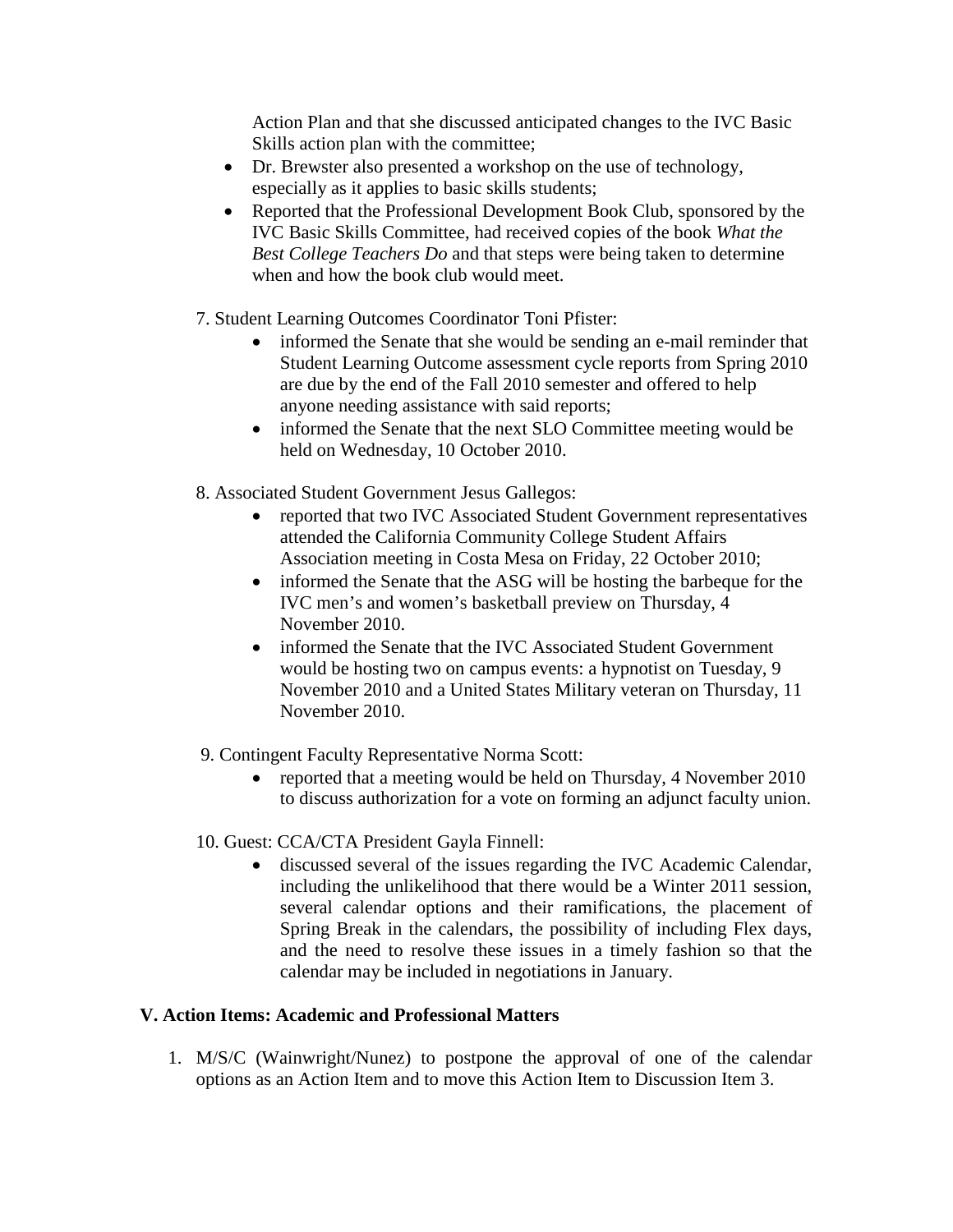Action Plan and that she discussed anticipated changes to the IVC Basic Skills action plan with the committee;

- Dr. Brewster also presented a workshop on the use of technology, especially as it applies to basic skills students;
- Reported that the Professional Development Book Club, sponsored by the IVC Basic Skills Committee, had received copies of the book *What the Best College Teachers Do* and that steps were being taken to determine when and how the book club would meet.
- 7. Student Learning Outcomes Coordinator Toni Pfister:
	- informed the Senate that she would be sending an e-mail reminder that Student Learning Outcome assessment cycle reports from Spring 2010 are due by the end of the Fall 2010 semester and offered to help anyone needing assistance with said reports;
	- informed the Senate that the next SLO Committee meeting would be held on Wednesday, 10 October 2010.
- 8. Associated Student Government Jesus Gallegos:
	- reported that two IVC Associated Student Government representatives attended the California Community College Student Affairs Association meeting in Costa Mesa on Friday, 22 October 2010;
	- informed the Senate that the ASG will be hosting the barbeque for the IVC men's and women's basketball preview on Thursday, 4 November 2010.
	- informed the Senate that the IVC Associated Student Government would be hosting two on campus events: a hypnotist on Tuesday, 9 November 2010 and a United States Military veteran on Thursday, 11 November 2010.
- 9. Contingent Faculty Representative Norma Scott:
	- reported that a meeting would be held on Thursday, 4 November 2010 to discuss authorization for a vote on forming an adjunct faculty union.
- 10. Guest: CCA/CTA President Gayla Finnell:
	- discussed several of the issues regarding the IVC Academic Calendar, including the unlikelihood that there would be a Winter 2011 session, several calendar options and their ramifications, the placement of Spring Break in the calendars, the possibility of including Flex days, and the need to resolve these issues in a timely fashion so that the calendar may be included in negotiations in January.

# **V. Action Items: Academic and Professional Matters**

1. M/S/C (Wainwright/Nunez) to postpone the approval of one of the calendar options as an Action Item and to move this Action Item to Discussion Item 3.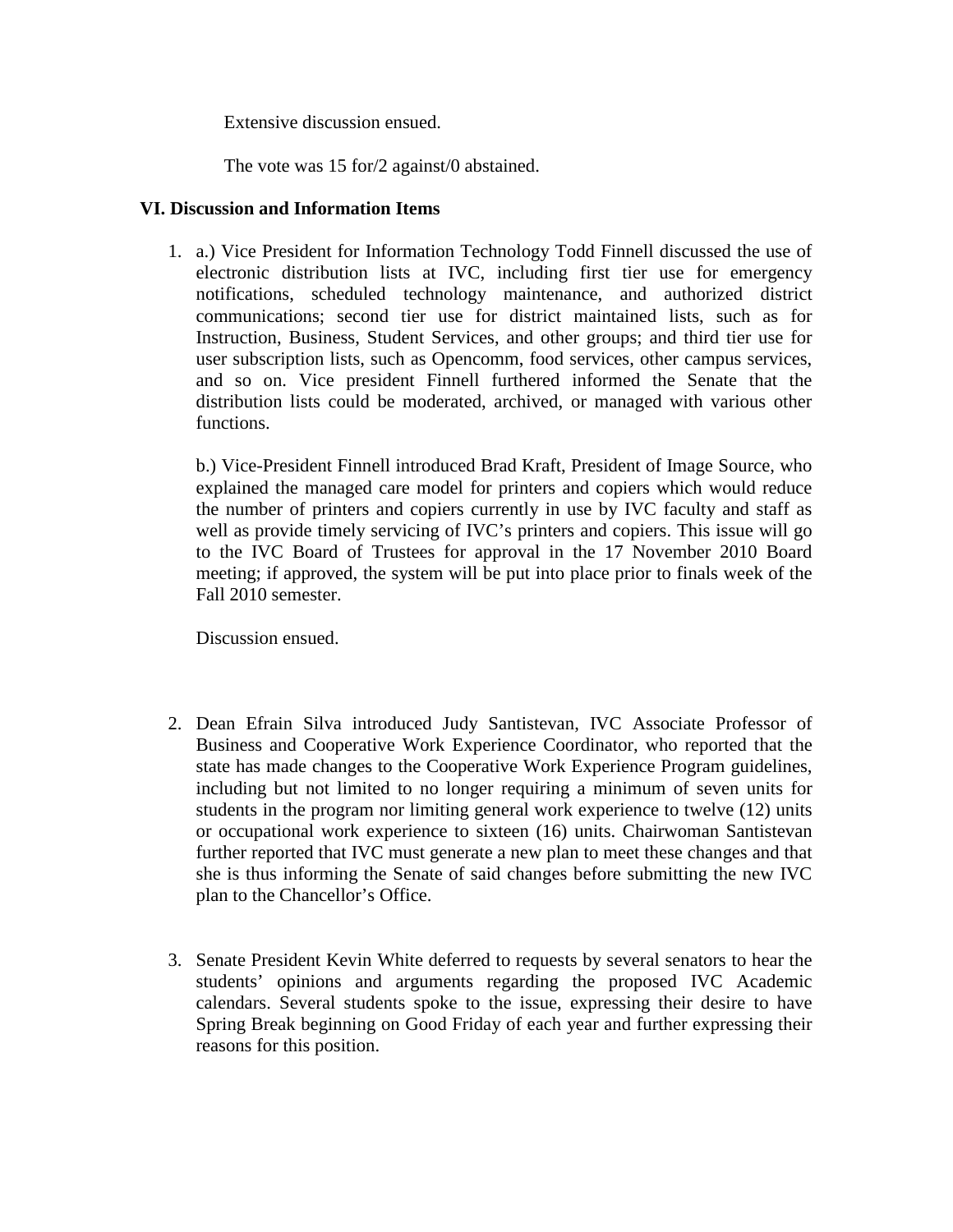Extensive discussion ensued.

The vote was 15 for/2 against/0 abstained.

### **VI. Discussion and Information Items**

1. a.) Vice President for Information Technology Todd Finnell discussed the use of electronic distribution lists at IVC, including first tier use for emergency notifications, scheduled technology maintenance, and authorized district communications; second tier use for district maintained lists, such as for Instruction, Business, Student Services, and other groups; and third tier use for user subscription lists, such as Opencomm, food services, other campus services, and so on. Vice president Finnell furthered informed the Senate that the distribution lists could be moderated, archived, or managed with various other functions.

b.) Vice-President Finnell introduced Brad Kraft, President of Image Source, who explained the managed care model for printers and copiers which would reduce the number of printers and copiers currently in use by IVC faculty and staff as well as provide timely servicing of IVC's printers and copiers. This issue will go to the IVC Board of Trustees for approval in the 17 November 2010 Board meeting; if approved, the system will be put into place prior to finals week of the Fall 2010 semester.

Discussion ensued.

- 2. Dean Efrain Silva introduced Judy Santistevan, IVC Associate Professor of Business and Cooperative Work Experience Coordinator, who reported that the state has made changes to the Cooperative Work Experience Program guidelines, including but not limited to no longer requiring a minimum of seven units for students in the program nor limiting general work experience to twelve (12) units or occupational work experience to sixteen (16) units. Chairwoman Santistevan further reported that IVC must generate a new plan to meet these changes and that she is thus informing the Senate of said changes before submitting the new IVC plan to the Chancellor's Office.
- 3. Senate President Kevin White deferred to requests by several senators to hear the students' opinions and arguments regarding the proposed IVC Academic calendars. Several students spoke to the issue, expressing their desire to have Spring Break beginning on Good Friday of each year and further expressing their reasons for this position.